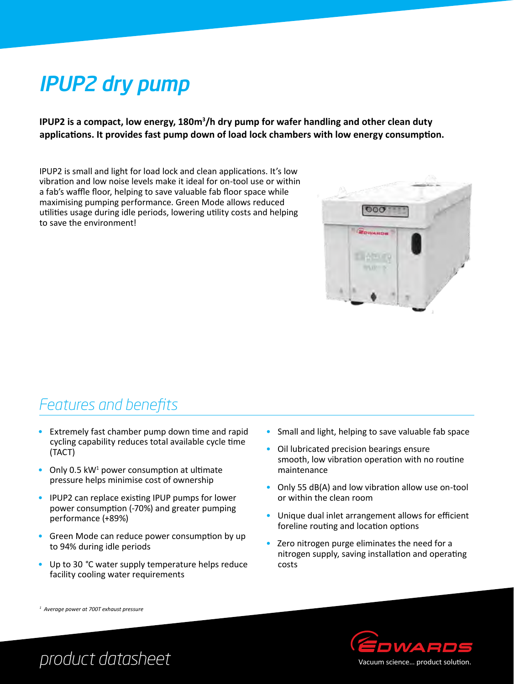# IPUP2 dry pump

IPUP2 is a compact, low energy, 180m<sup>3</sup>/h dry pump for wafer handling and other clean duty **applications. It provides fast pump down of load lock chambers with low energy consumption.** 

IPUP2 is small and light for load lock and clean applications. It's low vibration and low noise levels make it ideal for on-tool use or within a fab's waffle floor, helping to save valuable fab floor space while maximising pumping performance. Green Mode allows reduced utilities usage during idle periods, lowering utility costs and helping to save the environment!



### *Features and benefits*

- Extremely fast chamber pump down time and rapid cycling capability reduces total available cycle time (TACT)
- Only 0.5  $kW^1$  power consumption at ultimate pressure helps minimise cost of ownership
- • IPUP2 can replace existing IPUP pumps for lower power consumption (-70%) and greater pumping performance (+89%)
- Green Mode can reduce power consumption by up to 94% during idle periods
- • Up to 30 *°*C water supply temperature helps reduce facility cooling water requirements
- Small and light, helping to save valuable fab space
- Oil lubricated precision bearings ensure smooth, low vibration operation with no routine maintenance
- Only 55 dB(A) and low vibration allow use on-tool or within the clean room
- Unique dual inlet arrangement allows for efficient foreline routing and location options
- Zero nitrogen purge eliminates the need for a nitrogen supply, saving installation and operating costs



*1 Average power at 700T exhaust pressure*

## *product datasheet*